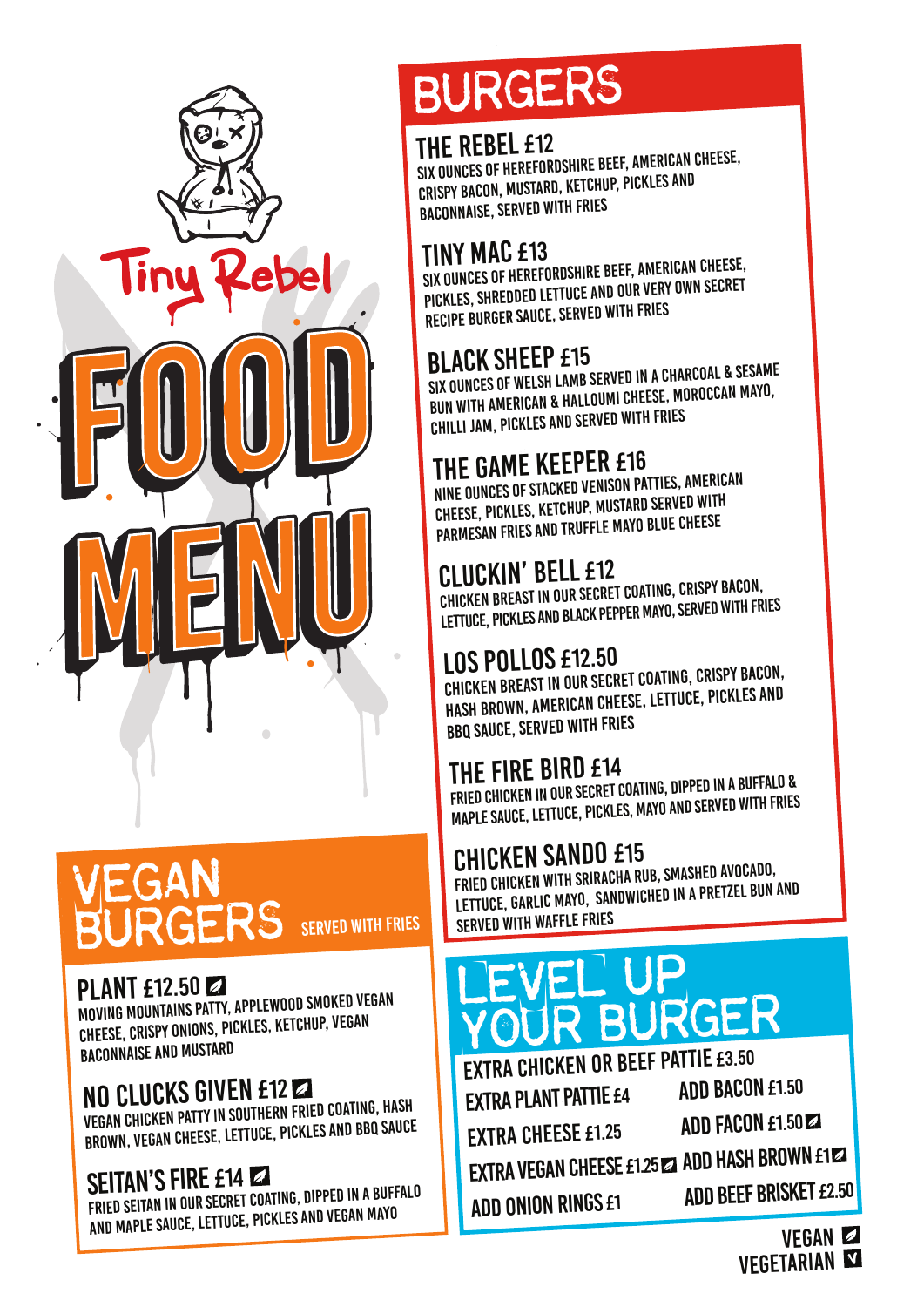

# GAN **GERS** SERVED WITH FRIES

PLANT £12.50 MOVING MOUNTAINS PATTY, APPLEWOOD SMOKED VEGAN CHEESE, CRISPY ONIONS, PICKLES, KETCHUP, VEGAN BACONNAISE AND MUSTARD

NO CLUCKS GIVEN £12 <sup>2</sup><br>VEGAN CHICKEN PATTY IN SOUTHERN FRIED COATING, HASH BROWN, VEGAN CHEESE, LETTUCE, PICKLES AND BBQ SAUCE

SEITAN'S FIRE £14 ED FRIED SEITAN'S FIRE £14 ED FRIED SEITAN IN OUR SECRET COATING, DIPPED IN A BUFFALO AND MAPLE SAUCE, LETTUCE, PICKLES AND VEGAN MAYO

# BURGERS

THE REBEL £12<br>SIX OUNCES OF HEREFORDSHIRE BEEF, AMERICAN CHEESE, CRISPY BACON, MUSTARD, KETCHUP, PICKLES AND BACONNAISE, SERVED WITH FRIES

TINY MAC £13<br>SIX OUNCES OF HEREFORDSHIRE BEEF, AMERICAN CHEESE, PICKLES, SHREDDED LETTUCE AND OUR VERY OWN SECRET RECIPE BURGER SAUCE, SERVED WITH FRIES

BLACK SHEEP £15<br>SIX OUNCES OF WELSH LAMB SERVED IN A CHARCOAL & SESAME BUN WITH AMERICAN & HALLOUMI CHEESE, MOROCCAN MAYO, CHILLI JAM, PICKLES AND SERVED WITH FRIES

## THE GAME KEEPER £16

NINE OUNCES OF STACKED VENISON PATTIES, AMERICAN CHEESE, PICKLES, KETCHUP, MUSTARD SERVED WITH PARMESAN FRIES AND TRUFFLE MAYO BLUE CHEESE

CLUCKIN' BELL £12<br>CHICKEN BREAST IN OUR SECRET COATING, CRISPY BACON, LETTUCE, PICKLES AND BLACK PEPPER MAYO, SERVED WITH FRIES

LOS POLLOS £12.50<br>CHICKEN BREAST IN OUR SECRET COATING, CRISPY BACON, HASH BROWN, AMERICAN CHEESE, LETTUCE, PICKLES AND BBQ SAUCE, SERVED WITH FRIES

THE FIRE BIRD £14<br>FRIED CHICKEN IN OUR SECRET COATING, DIPPED IN A BUFFALO & MAPLE SAUCE, LETTUCE, PICKLES, MAYO AND SERVED WITH FRIES

CHICKEN SANDO £15<br>FRIED CHICKEN WITH SRIRACHA RUB, SMASHED AVOCADO, LETTUCE, GARLIC MAYO, SANDWICHED IN A PRETZEL BUN AND SERVED WITH WAFFLE FRIES

## LEVEL UP RGER

EXTRA PLANT PATTIE £4 EXTRA CHEESE £1.25 EXTRA VEGAN CHEESE £1.25 ADD HASH BROWN £1 ADD ONION RINGS £1 EXTRA CHICKEN OR BEEF PATTIE £3.50 ADD BACON £1.50 ADD FACON £1.50 ADD BEEF BRISKET £2.50